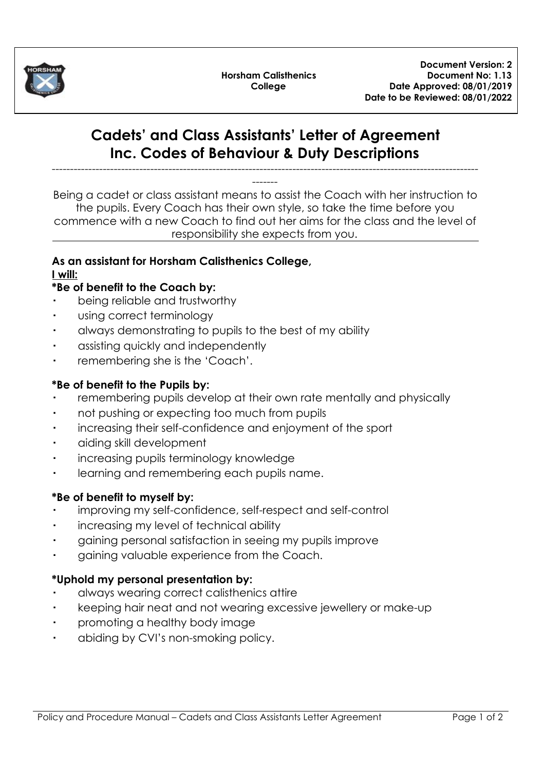

**Horsham Calisthenics College**

# **Cadets' and Class Assistants' Letter of Agreement Inc. Codes of Behaviour & Duty Descriptions**

---------------------------------------------------------------------------------------------------------------------

------- Being a cadet or class assistant means to assist the Coach with her instruction to the pupils. Every Coach has their own style, so take the time before you commence with a new Coach to find out her aims for the class and the level of responsibility she expects from you.

#### **As an assistant for Horsham Calisthenics College, I will:**

## **\*Be of benefit to the Coach by:**

- being reliable and trustworthy
- using correct terminology
- always demonstrating to pupils to the best of my ability
- assisting quickly and independently
- remembering she is the 'Coach'.

## **\*Be of benefit to the Pupils by:**

- remembering pupils develop at their own rate mentally and physically
- not pushing or expecting too much from pupils
- increasing their self-confidence and enjoyment of the sport
- aiding skill development
- increasing pupils terminology knowledge
- learning and remembering each pupils name.

## **\*Be of benefit to myself by:**

- improving my self-confidence, self-respect and self-control
- increasing my level of technical ability
- gaining personal satisfaction in seeing my pupils improve
- gaining valuable experience from the Coach.

## **\*Uphold my personal presentation by:**

- always wearing correct calisthenics attire
- keeping hair neat and not wearing excessive jewellery or make-up
- promoting a healthy body image
- abiding by CVI's non-smoking policy.